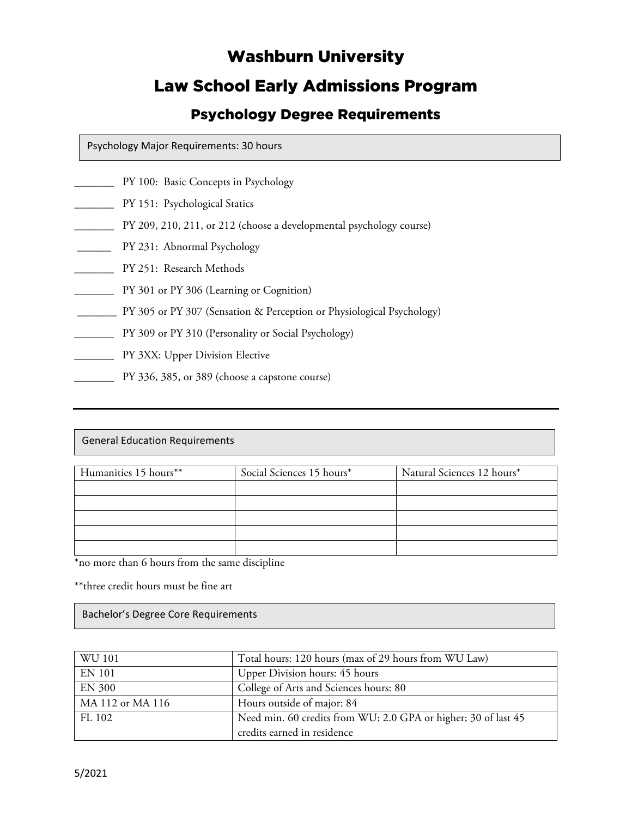# Washburn University

# Law School Early Admissions Program

# Psychology Degree Requirements

Psychology Major Requirements: 30 hours

- **PY 100: Basic Concepts in Psychology**
- \_\_\_\_\_\_\_ PY 151: Psychological Statics
- \_\_\_\_\_\_\_ PY 209, 210, 211, or 212 (choose a developmental psychology course)
- \_\_\_\_\_\_ PY 231: Abnormal Psychology
- \_\_\_\_\_\_\_ PY 251: Research Methods
- \_\_\_\_\_\_\_ PY 301 or PY 306 (Learning or Cognition)
- \_\_\_\_\_\_\_ PY 305 or PY 307 (Sensation & Perception or Physiological Psychology)
- \_\_\_\_\_\_\_ PY 309 or PY 310 (Personality or Social Psychology)
- **EXX:** Upper Division Elective
- \_\_\_\_\_\_\_ PY 336, 385, or 389 (choose a capstone course)

General Education Requirements

| Humanities 15 hours** | Social Sciences 15 hours* | Natural Sciences 12 hours* |
|-----------------------|---------------------------|----------------------------|
|                       |                           |                            |
|                       |                           |                            |
|                       |                           |                            |
|                       |                           |                            |
|                       |                           |                            |

\*no more than 6 hours from the same discipline

\*\*three credit hours must be fine art

Bachelor's Degree Core Requirements

| WU 101           | Total hours: 120 hours (max of 29 hours from WU Law)           |  |
|------------------|----------------------------------------------------------------|--|
| <b>EN 101</b>    | Upper Division hours: 45 hours                                 |  |
| <b>EN 300</b>    | College of Arts and Sciences hours: 80                         |  |
| MA 112 or MA 116 | Hours outside of major: 84                                     |  |
| FL 102           | Need min. 60 credits from WU; 2.0 GPA or higher; 30 of last 45 |  |
|                  | credits earned in residence                                    |  |